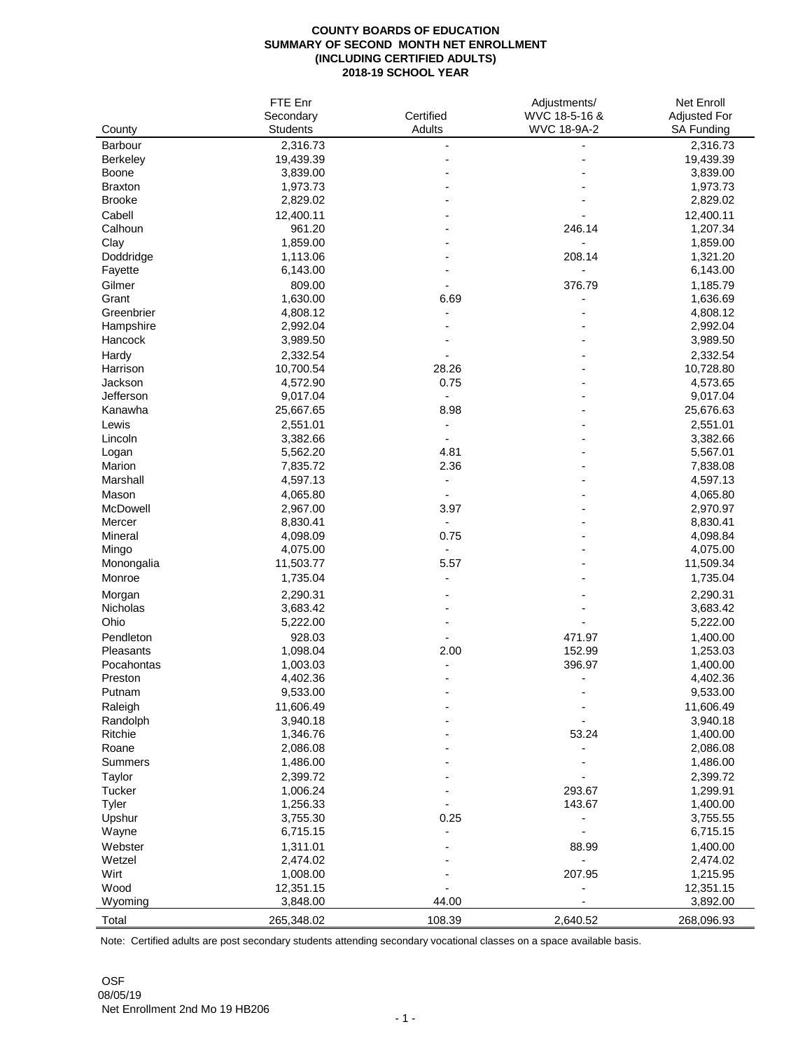## **COUNTY BOARDS OF EDUCATION SUMMARY OF SECOND MONTH NET ENROLLMENT (INCLUDING CERTIFIED ADULTS) 2018-19 SCHOOL YEAR**

|                      | FTE Enr         |                          | Adjustments/       | <b>Net Enroll</b>   |
|----------------------|-----------------|--------------------------|--------------------|---------------------|
|                      | Secondary       | Certified                | WVC 18-5-16 &      | <b>Adjusted For</b> |
| County               | <b>Students</b> | <b>Adults</b>            | <b>WVC 18-9A-2</b> | <b>SA Funding</b>   |
| <b>Barbour</b>       | 2,316.73        |                          |                    | 2,316.73            |
| <b>Berkeley</b>      | 19,439.39       |                          |                    | 19,439.39           |
| <b>Boone</b>         | 3,839.00        |                          |                    | 3,839.00            |
| <b>Braxton</b>       | 1,973.73        |                          |                    | 1,973.73            |
| <b>Brooke</b>        | 2,829.02        |                          |                    | 2,829.02            |
| Cabell               | 12,400.11       |                          |                    | 12,400.11           |
| Calhoun              | 961.20          |                          | 246.14             | 1,207.34            |
| Clay                 | 1,859.00        |                          |                    | 1,859.00            |
| Doddridge            | 1,113.06        |                          | 208.14             | 1,321.20            |
| Fayette              | 6,143.00        |                          |                    | 6,143.00            |
| Gilmer               | 809.00          |                          | 376.79             | 1,185.79            |
| Grant                | 1,630.00        | 6.69                     |                    | 1,636.69            |
| Greenbrier           | 4,808.12        |                          |                    | 4,808.12            |
|                      | 2,992.04        |                          |                    | 2,992.04            |
| Hampshire<br>Hancock |                 |                          |                    | 3,989.50            |
|                      | 3,989.50        |                          |                    |                     |
| Hardy                | 2,332.54        |                          |                    | 2,332.54            |
| Harrison             | 10,700.54       | 28.26                    |                    | 10,728.80           |
| Jackson              | 4,572.90        | 0.75                     |                    | 4,573.65            |
| Jefferson            | 9,017.04        |                          |                    | 9,017.04            |
| Kanawha              | 25,667.65       | 8.98                     |                    | 25,676.63           |
| Lewis                | 2,551.01        |                          |                    | 2,551.01            |
| Lincoln              | 3,382.66        |                          |                    | 3,382.66            |
| Logan                | 5,562.20        | 4.81                     |                    | 5,567.01            |
| <b>Marion</b>        | 7,835.72        | 2.36                     |                    | 7,838.08            |
| Marshall             | 4,597.13        |                          |                    | 4,597.13            |
| Mason                | 4,065.80        |                          |                    | 4,065.80            |
| McDowell             | 2,967.00        | 3.97                     |                    | 2,970.97            |
| Mercer               | 8,830.41        | $\overline{\phantom{a}}$ |                    | 8,830.41            |
| <b>Mineral</b>       | 4,098.09        | 0.75                     |                    | 4,098.84            |
| Mingo                | 4,075.00        |                          |                    | 4,075.00            |
| Monongalia           | 11,503.77       | 5.57                     |                    | 11,509.34           |
| Monroe               | 1,735.04        |                          |                    | 1,735.04            |
| Morgan               | 2,290.31        |                          |                    | 2,290.31            |
| <b>Nicholas</b>      | 3,683.42        |                          |                    | 3,683.42            |
| Ohio                 | 5,222.00        |                          |                    | 5,222.00            |
| Pendleton            | 928.03          |                          | 471.97             | 1,400.00            |
| <b>Pleasants</b>     | 1,098.04        | 2.00                     | 152.99             | 1,253.03            |
| Pocahontas           | 1,003.03        |                          | 396.97             | 1,400.00            |
| Preston              | 4,402.36        |                          |                    | 4,402.36            |
| Putnam               | 9,533.00        |                          |                    | 9,533.00            |
|                      |                 |                          |                    |                     |
| Raleigh              | 11,606.49       |                          |                    | 11,606.49           |
| Randolph             | 3,940.18        |                          |                    | 3,940.18            |
| <b>Ritchie</b>       | 1,346.76        |                          | 53.24              | 1,400.00            |
| Roane                | 2,086.08        |                          |                    | 2,086.08            |
| <b>Summers</b>       | 1,486.00        |                          |                    | 1,486.00            |
| <b>Taylor</b>        | 2,399.72        |                          |                    | 2,399.72            |
| <b>Tucker</b>        | 1,006.24        |                          | 293.67             | 1,299.91            |
| <b>Tyler</b>         | 1,256.33        |                          | 143.67             | 1,400.00            |
| Upshur               | 3,755.30        | 0.25                     |                    | 3,755.55            |
| Wayne                | 6,715.15        |                          |                    | 6,715.15            |
| Webster              | 1,311.01        |                          | 88.99              | 1,400.00            |
| Wetzel               | 2,474.02        |                          |                    | 2,474.02            |
| Wirt                 | 1,008.00        |                          | 207.95             | 1,215.95            |
| Wood                 | 12,351.15       |                          |                    | 12,351.15           |
| Wyoming              | 3,848.00        | 44.00                    |                    | 3,892.00            |
| Total                | 265,348.02      | 108.39                   | 2,640.52           | 268,096.93          |

Note: Certified adults are post secondary students attending secondary vocational classes on a space available basis.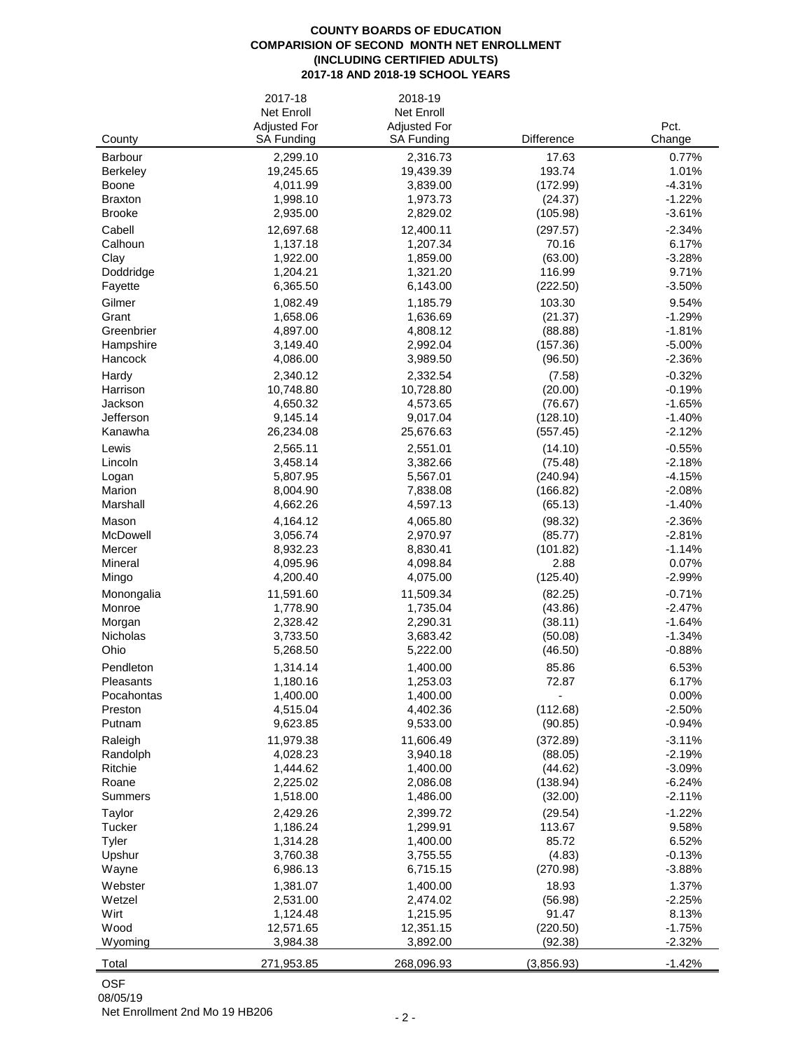## **COUNTY BOARDS OF EDUCATION COMPARISION OF SECOND MONTH NET ENROLLMENT (INCLUDING CERTIFIED ADULTS) 2017-18 AND 2018-19 SCHOOL YEARS**

|                      | 2017-18                                  | 2018-19                                  |                     |                      |
|----------------------|------------------------------------------|------------------------------------------|---------------------|----------------------|
|                      | <b>Net Enroll</b>                        | <b>Net Enroll</b>                        |                     |                      |
| County               | <b>Adjusted For</b><br><b>SA Funding</b> | <b>Adjusted For</b><br><b>SA Funding</b> | Difference          | Pct.<br>Change       |
| <b>Barbour</b>       | 2,299.10                                 | 2,316.73                                 | 17.63               | 0.77%                |
| <b>Berkeley</b>      | 19,245.65                                | 19,439.39                                | 193.74              | 1.01%                |
| <b>Boone</b>         | 4,011.99                                 | 3,839.00                                 | (172.99)            | $-4.31%$             |
| <b>Braxton</b>       | 1,998.10                                 | 1,973.73                                 | (24.37)             | $-1.22%$             |
| <b>Brooke</b>        | 2,935.00                                 | 2,829.02                                 | (105.98)            | $-3.61%$             |
| Cabell               | 12,697.68                                | 12,400.11                                | (297.57)            | $-2.34%$             |
| Calhoun              | 1,137.18                                 | 1,207.34                                 | 70.16               | 6.17%                |
| Clay                 | 1,922.00                                 | 1,859.00                                 | (63.00)             | $-3.28%$             |
| Doddridge<br>Fayette | 1,204.21<br>6,365.50                     | 1,321.20<br>6,143.00                     | 116.99<br>(222.50)  | 9.71%<br>$-3.50%$    |
| Gilmer               | 1,082.49                                 |                                          | 103.30              | 9.54%                |
| Grant                | 1,658.06                                 | 1,185.79<br>1,636.69                     | (21.37)             | $-1.29%$             |
| Greenbrier           | 4,897.00                                 | 4,808.12                                 | (88.88)             | $-1.81%$             |
| Hampshire            | 3,149.40                                 | 2,992.04                                 | (157.36)            | $-5.00%$             |
| <b>Hancock</b>       | 4,086.00                                 | 3,989.50                                 | (96.50)             | $-2.36%$             |
| Hardy                | 2,340.12                                 | 2,332.54                                 | (7.58)              | $-0.32%$             |
| Harrison             | 10,748.80                                | 10,728.80                                | (20.00)             | $-0.19%$             |
| Jackson              | 4,650.32                                 | 4,573.65                                 | (76.67)             | $-1.65%$             |
| Jefferson            | 9,145.14                                 | 9,017.04                                 | (128.10)            | $-1.40%$             |
| Kanawha              | 26,234.08                                | 25,676.63                                | (557.45)            | $-2.12%$             |
| Lewis                | 2,565.11                                 | 2,551.01                                 | (14.10)             | $-0.55%$             |
| Lincoln              | 3,458.14                                 | 3,382.66                                 | (75.48)             | $-2.18%$             |
| Logan                | 5,807.95                                 | 5,567.01                                 | (240.94)            | $-4.15%$             |
| Marion<br>Marshall   | 8,004.90<br>4,662.26                     | 7,838.08<br>4,597.13                     | (166.82)            | $-2.08%$<br>$-1.40%$ |
|                      |                                          |                                          | (65.13)             |                      |
| Mason<br>McDowell    | 4,164.12<br>3,056.74                     | 4,065.80<br>2,970.97                     | (98.32)<br>(85.77)  | $-2.36%$<br>$-2.81%$ |
| Mercer               | 8,932.23                                 | 8,830.41                                 | (101.82)            | $-1.14%$             |
| <b>Mineral</b>       | 4,095.96                                 | 4,098.84                                 | 2.88                | 0.07%                |
| Mingo                | 4,200.40                                 | 4,075.00                                 | (125.40)            | $-2.99%$             |
| Monongalia           | 11,591.60                                | 11,509.34                                | (82.25)             | $-0.71%$             |
| Monroe               | 1,778.90                                 | 1,735.04                                 | (43.86)             | $-2.47%$             |
| Morgan               | 2,328.42                                 | 2,290.31                                 | (38.11)             | $-1.64%$             |
| <b>Nicholas</b>      | 3,733.50                                 | 3,683.42                                 | (50.08)             | $-1.34%$             |
| Ohio                 | 5,268.50                                 | 5,222.00                                 | (46.50)             | $-0.88%$             |
| Pendleton            | 1,314.14                                 | 1,400.00                                 | 85.86               | 6.53%                |
| <b>Pleasants</b>     | 1,180.16                                 | 1,253.03                                 | 72.87               | 6.17%                |
| Pocahontas           | 1,400.00                                 | 1,400.00                                 |                     | 0.00%                |
| Preston<br>Putnam    | 4,515.04<br>9,623.85                     | 4,402.36<br>9,533.00                     | (112.68)<br>(90.85) | $-2.50%$<br>$-0.94%$ |
| Raleigh              | 11,979.38                                | 11,606.49                                | (372.89)            | $-3.11%$             |
| Randolph             | 4,028.23                                 | 3,940.18                                 | (88.05)             | $-2.19%$             |
| Ritchie              | 1,444.62                                 | 1,400.00                                 | (44.62)             | $-3.09%$             |
| Roane                | 2,225.02                                 | 2,086.08                                 | (138.94)            | $-6.24%$             |
| <b>Summers</b>       | 1,518.00                                 | 1,486.00                                 | (32.00)             | $-2.11%$             |
| Taylor               | 2,429.26                                 | 2,399.72                                 | (29.54)             | $-1.22%$             |
| <b>Tucker</b>        | 1,186.24                                 | 1,299.91                                 | 113.67              | 9.58%                |
| Tyler                | 1,314.28                                 | 1,400.00                                 | 85.72               | 6.52%                |
| Upshur               | 3,760.38                                 | 3,755.55                                 | (4.83)              | $-0.13%$             |
| Wayne                | 6,986.13                                 | 6,715.15                                 | (270.98)            | $-3.88%$             |
| Webster              | 1,381.07                                 | 1,400.00                                 | 18.93               | 1.37%                |
| Wetzel               | 2,531.00                                 | 2,474.02                                 | (56.98)             | $-2.25%$             |
| Wirt<br>Wood         | 1,124.48<br>12,571.65                    | 1,215.95<br>12,351.15                    | 91.47<br>(220.50)   | 8.13%<br>$-1.75%$    |
| Wyoming              | 3,984.38                                 | 3,892.00                                 | (92.38)             | $-2.32%$             |
|                      |                                          |                                          |                     |                      |
| Total                | 271,953.85                               | 268,096.93                               | (3,856.93)          | $-1.42%$             |

OSF

08/05/19

Net Enrollment 2nd Mo 19 HB206 - 2 -